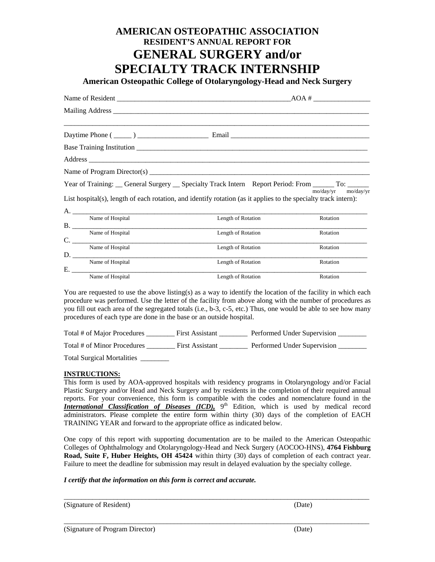## **AMERICAN OSTEOPATHIC ASSOCIATION RESIDENT'S ANNUAL REPORT FOR GENERAL SURGERY and/or SPECIALTY TRACK INTERNSHIP**

**American Osteopathic College of Otolaryngology-Head and Neck Surgery** 

|                                                                 | Year of Training: General Surgery General Specialty Track Intern Report Period: From To: Community Po<br>List hospital(s), length of each rotation, and identify rotation (as it applies to the specialty track intern):              | mo/day/yr mo/day/yr |
|-----------------------------------------------------------------|---------------------------------------------------------------------------------------------------------------------------------------------------------------------------------------------------------------------------------------|---------------------|
|                                                                 |                                                                                                                                                                                                                                       |                     |
| Name of Hospital                                                | Length of Rotation                                                                                                                                                                                                                    | Rotation            |
| $\mathbf{r}$ and $\mathbf{r}$ are $\mathbf{r}$ and $\mathbf{r}$ | $\blacksquare$ , and the set of the set of the set of the set of the set of the set of the set of the set of the set of the set of the set of the set of the set of the set of the set of the set of the set of the set of the set of |                     |

| Rotation |
|----------|
|          |
| Rotation |
|          |
| Rotation |
|          |
| Rotation |
|          |

You are requested to use the above listing(s) as a way to identify the location of the facility in which each procedure was performed. Use the letter of the facility from above along with the number of procedures as you fill out each area of the segregated totals (i.e., b-3, c-5, etc.) Thus, one would be able to see how many procedures of each type are done in the base or an outside hospital.

| Total # of Major Procedures | <b>First Assistant</b> | Performed Under Supervision |
|-----------------------------|------------------------|-----------------------------|
| Total # of Minor Procedures | <b>First Assistant</b> | Performed Under Supervision |

Total Surgical Mortalities \_\_\_\_\_\_\_\_

## **INSTRUCTIONS:**

This form is used by AOA-approved hospitals with residency programs in Otolaryngology and/or Facial Plastic Surgery and/or Head and Neck Surgery and by residents in the completion of their required annual reports. For your convenience, this form is compatible with the codes and nomenclature found in the *International Classification of Diseases (ICD)*,  $9<sup>th</sup>$  Edition, which is used by medical record administrators. Please complete the entire form within thirty (30) days of the completion of EACH TRAINING YEAR and forward to the appropriate office as indicated below.

One copy of this report with supporting documentation are to be mailed to the American Osteopathic Colleges of Ophthalmology and Otolaryngology-Head and Neck Surgery (AOCOO-HNS), **4764 Fishburg Road, Suite F, Huber Heights, OH 45424** within thirty (30) days of completion of each contract year. Failure to meet the deadline for submission may result in delayed evaluation by the specialty college.

\_\_\_\_\_\_\_\_\_\_\_\_\_\_\_\_\_\_\_\_\_\_\_\_\_\_\_\_\_\_\_\_\_\_\_\_\_\_\_\_\_\_\_\_\_\_\_\_\_\_\_\_\_\_\_\_\_\_\_\_\_\_\_\_\_\_\_\_\_\_\_\_\_\_\_\_\_\_\_\_\_\_\_\_\_\_

\_\_\_\_\_\_\_\_\_\_\_\_\_\_\_\_\_\_\_\_\_\_\_\_\_\_\_\_\_\_\_\_\_\_\_\_\_\_\_\_\_\_\_\_\_\_\_\_\_\_\_\_\_\_\_\_\_\_\_\_\_\_\_\_\_\_\_\_\_\_\_\_\_\_\_\_\_\_\_\_\_\_\_\_\_\_

## *I certify that the information on this form is correct and accurate.*

| (Signature of Resident) | (Date) |
|-------------------------|--------|
|-------------------------|--------|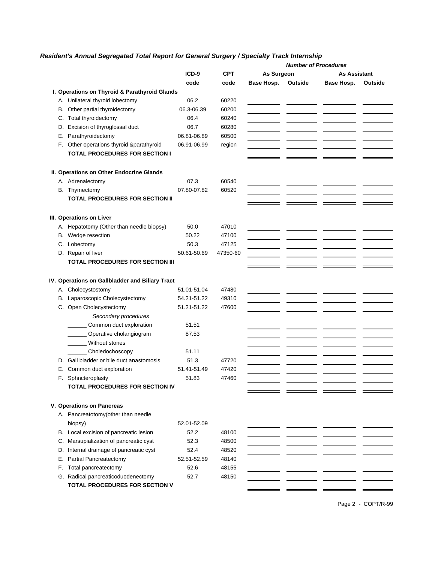## *Resident's Annual Segregated Total Report for General Surgery / Specialty Track Internship*

|    |                                                 |             |            |            | <b>Number of Procedures</b> |              |         |
|----|-------------------------------------------------|-------------|------------|------------|-----------------------------|--------------|---------|
|    |                                                 | $ICD-9$     | <b>CPT</b> | As Surgeon |                             | As Assistant |         |
|    |                                                 | code        | code       | Base Hosp. | Outside                     | Base Hosp.   | Outside |
|    | I. Operations on Thyroid & Parathyroid Glands   |             |            |            |                             |              |         |
|    | A. Unilateral thyroid lobectomy                 | 06.2        | 60220      |            |                             |              |         |
|    | B. Other partial thyroidectomy                  | 06.3-06.39  | 60200      |            |                             |              |         |
|    | C. Total thyroidectomy                          | 06.4        | 60240      |            |                             |              |         |
|    | D. Excision of thyroglossal duct                | 06.7        | 60280      |            |                             |              |         |
| Е. | Parathyroidectomy                               | 06.81-06.89 | 60500      |            |                             |              |         |
|    | F. Other operations thyroid &parathyroid        | 06.91-06.99 | region     |            |                             |              |         |
|    | <b>TOTAL PROCEDURES FOR SECTION I</b>           |             |            |            |                             |              |         |
|    | II. Operations on Other Endocrine Glands        |             |            |            |                             |              |         |
|    | A. Adrenalectomy                                | 07.3        | 60540      |            |                             |              |         |
|    | B. Thymectomy                                   | 07.80-07.82 | 60520      |            |                             |              |         |
|    | <b>TOTAL PROCEDURES FOR SECTION II</b>          |             |            |            |                             |              |         |
|    | III. Operations on Liver                        |             |            |            |                             |              |         |
|    | A. Hepatotomy (Other than needle biopsy)        | 50.0        | 47010      |            |                             |              |         |
|    | B. Wedge resection                              | 50.22       | 47100      |            |                             |              |         |
|    | C. Lobectomy                                    | 50.3        | 47125      |            |                             |              |         |
|    | D. Repair of liver                              | 50.61-50.69 | 47350-60   |            |                             |              |         |
|    | <b>TOTAL PROCEDURES FOR SECTION III</b>         |             |            |            |                             |              |         |
|    |                                                 |             |            |            |                             |              |         |
|    | IV. Operations on Gallbladder and Biliary Tract |             |            |            |                             |              |         |
|    | A. Cholecystostomy                              | 51.01-51.04 | 47480      |            |                             |              |         |
|    | B. Laparoscopic Cholecystectomy                 | 54.21-51.22 | 49310      |            |                             |              |         |
|    | C. Open Cholecystectomy<br>Secondary procedures | 51.21-51.22 | 47600      |            |                             |              |         |
|    | _Common duct exploration                        | 51.51       |            |            |                             |              |         |
|    | Operative cholangiogram                         | 87.53       |            |            |                             |              |         |
|    | Without stones                                  |             |            |            |                             |              |         |
|    | Choledochoscopy                                 | 51.11       |            |            |                             |              |         |
|    | D. Gall bladder or bile duct anastomosis        | 51.3        | 47720      |            |                             |              |         |
|    | E. Common duct exploration                      | 51.41-51.49 | 47420      |            |                             |              |         |
| F. | Sphncteroplasty                                 | 51.83       | 47460      |            |                             |              |         |
|    | TOTAL PROCEDURES FOR SECTION IV                 |             |            |            |                             |              |         |
|    | V. Operations on Pancreas                       |             |            |            |                             |              |         |
|    | A. Pancreatotomy(other than needle              |             |            |            |                             |              |         |
|    | biopsy)                                         | 52.01-52.09 |            |            |                             |              |         |
|    | B. Local excision of pancreatic lesion          | 52.2        | 48100      |            |                             |              |         |
| C. | Marsupialization of pancreatic cyst             | 52.3        | 48500      |            |                             |              |         |
|    | D. Internal drainage of pancreatic cyst         | 52.4        | 48520      |            |                             |              |         |
| Е. | Partial Pancreatectomy                          | 52.51-52.59 | 48140      |            |                             |              |         |
|    | F. Total pancreatectomy                         | 52.6        | 48155      |            |                             |              |         |
|    | G. Radical pancreaticoduodenectomy              | 52.7        | 48150      |            |                             |              |         |
|    | TOTAL PROCEDURES FOR SECTION V                  |             |            |            |                             |              |         |
|    |                                                 |             |            |            |                             |              |         |

Page 2 - COPT/R-99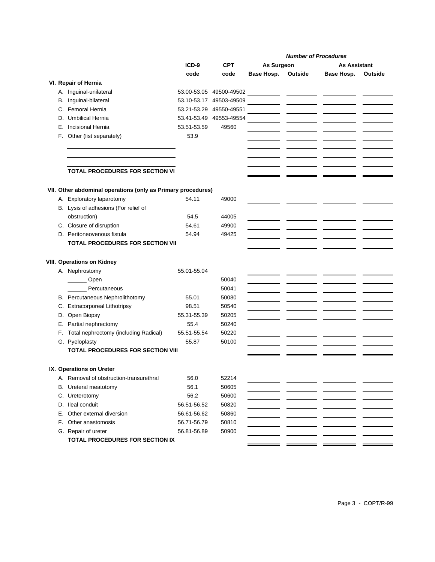|    |                                                              |             |                         |            | <b>Number of Procedures</b> |                     |         |
|----|--------------------------------------------------------------|-------------|-------------------------|------------|-----------------------------|---------------------|---------|
|    |                                                              | ICD-9       | <b>CPT</b>              | As Surgeon |                             | <b>As Assistant</b> |         |
|    |                                                              | code        | code                    | Base Hosp. | Outside                     | Base Hosp.          | Outside |
|    | VI. Repair of Hernia                                         |             |                         |            |                             |                     |         |
|    | A. Inguinal-unilateral                                       |             | 53.00-53.05 49500-49502 |            |                             |                     |         |
|    | B. Inguinal-bilateral                                        | 53.10-53.17 | 49503-49509             |            |                             |                     |         |
|    | C. Femoral Hernia                                            | 53.21-53.29 | 49550-49551             |            |                             |                     |         |
|    | D. Umbilical Hernia                                          | 53.41-53.49 | 49553-49554             |            |                             |                     |         |
| Е. | Incisional Hernia                                            | 53.51-53.59 | 49560                   |            |                             |                     |         |
| F. | Other (list separately)                                      | 53.9        |                         |            |                             |                     |         |
|    |                                                              |             |                         |            |                             |                     |         |
|    |                                                              |             |                         |            |                             |                     |         |
|    |                                                              |             |                         |            |                             |                     |         |
|    | TOTAL PROCEDURES FOR SECTION VI                              |             |                         |            |                             |                     |         |
|    |                                                              |             |                         |            |                             |                     |         |
|    | VII. Other abdominal operations (only as Primary procedures) |             |                         |            |                             |                     |         |
|    | A. Exploratory laparotomy                                    | 54.11       | 49000                   |            |                             |                     |         |
|    | B. Lysis of adhesions (For relief of                         |             |                         |            |                             |                     |         |
|    | obstruction)                                                 | 54.5        | 44005                   |            |                             |                     |         |
|    | C. Closure of disruption                                     | 54.61       | 49900                   |            |                             |                     |         |
|    | D. Peritoneovenous fistula                                   | 54.94       | 49425                   |            |                             |                     |         |
|    | <b>TOTAL PROCEDURES FOR SECTION VII</b>                      |             |                         |            |                             |                     |         |
|    |                                                              |             |                         |            |                             |                     |         |
|    | <b>VIII. Operations on Kidney</b>                            |             |                         |            |                             |                     |         |
|    | A. Nephrostomy                                               | 55.01-55.04 |                         |            |                             |                     |         |
|    | Open                                                         |             | 50040                   |            |                             |                     |         |
|    | Percutaneous                                                 |             | 50041                   |            |                             |                     |         |
|    | B. Percutaneous Nephrolithotomy                              | 55.01       | 50080                   |            |                             |                     |         |
|    | C. Extracorporeal Lithotripsy                                | 98.51       | 50540                   |            |                             |                     |         |
| D. | Open Biopsy                                                  | 55.31-55.39 | 50205                   |            |                             |                     |         |
|    | E. Partial nephrectomy                                       | 55.4        | 50240                   |            |                             |                     |         |
| F. | Total nephrectomy (including Radical)                        | 55.51-55.54 | 50220                   |            |                             |                     |         |
|    | G. Pyeloplasty                                               | 55.87       | 50100                   |            |                             |                     |         |
|    | <b>TOTAL PROCEDURES FOR SECTION VIII</b>                     |             |                         |            |                             |                     |         |
|    |                                                              |             |                         |            |                             |                     |         |
|    | IX. Operations on Ureter                                     | 56.0        | 52214                   |            |                             |                     |         |
|    | A. Removal of obstruction-transurethral                      | 56.1        | 50605                   |            |                             |                     |         |
|    | B. Ureteral meatotomy                                        | 56.2        | 50600                   |            |                             |                     |         |
|    | C. Ureterotomy<br>D. Ileal conduit                           | 56.51-56.52 | 50820                   |            |                             |                     |         |
|    |                                                              |             |                         |            |                             |                     |         |
|    | E. Other external diversion                                  | 56.61-56.62 | 50860                   |            |                             |                     |         |
|    | F. Other anastomosis                                         | 56.71-56.79 | 50810                   |            |                             |                     |         |
|    | G. Repair of ureter                                          | 56.81-56.89 | 50900                   |            |                             |                     |         |
|    | TOTAL PROCEDURES FOR SECTION IX                              |             |                         |            |                             |                     |         |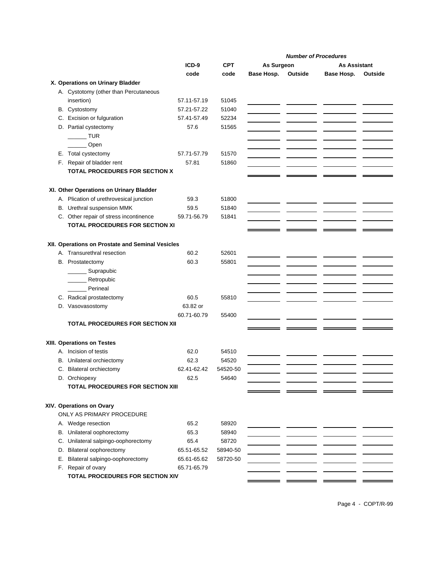|  |                                                  |             |            |            | <b>Number of Procedures</b> |              |         |
|--|--------------------------------------------------|-------------|------------|------------|-----------------------------|--------------|---------|
|  |                                                  | $ICD-9$     | <b>CPT</b> | As Surgeon |                             | As Assistant |         |
|  |                                                  | code        | code       | Base Hosp. | Outside                     | Base Hosp.   | Outside |
|  | X. Operations on Urinary Bladder                 |             |            |            |                             |              |         |
|  | A. Cystotomy (other than Percutaneous            |             |            |            |                             |              |         |
|  | insertion)                                       | 57.11-57.19 | 51045      |            |                             |              |         |
|  |                                                  | 57.21-57.22 | 51040      |            |                             |              |         |
|  | B. Cystostomy                                    |             |            |            |                             |              |         |
|  | C. Excision or fulguration                       | 57.41-57.49 | 52234      |            |                             |              |         |
|  | D. Partial cystectomy                            | 57.6        | 51565      |            |                             |              |         |
|  | <b>TUR</b>                                       |             |            |            |                             |              |         |
|  | Open                                             |             |            |            |                             |              |         |
|  | E. Total cystectomy                              | 57.71-57.79 | 51570      |            |                             |              |         |
|  | F. Repair of bladder rent                        | 57.81       | 51860      |            |                             |              |         |
|  | TOTAL PROCEDURES FOR SECTION X                   |             |            |            |                             |              |         |
|  |                                                  |             |            |            |                             |              |         |
|  | XI. Other Operations on Urinary Bladder          |             |            |            |                             |              |         |
|  | A. Plication of urethrovesical junction          | 59.3        | 51800      |            |                             |              |         |
|  | B. Urethral suspension MMK                       | 59.5        | 51840      |            |                             |              |         |
|  | C. Other repair of stress incontinence           | 59.71-56.79 | 51841      |            |                             |              |         |
|  | TOTAL PROCEDURES FOR SECTION XI                  |             |            |            |                             |              |         |
|  |                                                  |             |            |            |                             |              |         |
|  | XII. Operations on Prostate and Seminal Vesicles |             |            |            |                             |              |         |
|  | A. Transurethral resection                       | 60.2        | 52601      |            |                             |              |         |
|  | B. Prostatectomy                                 | 60.3        | 55801      |            |                             |              |         |
|  | Suprapubic                                       |             |            |            |                             |              |         |
|  | Retropubic                                       |             |            |            |                             |              |         |
|  | Perineal                                         |             |            |            |                             |              |         |
|  |                                                  | 60.5        | 55810      |            |                             |              |         |
|  | C. Radical prostatectomy                         |             |            |            |                             |              |         |
|  | D. Vasovasostomy                                 | 63.82 or    |            |            |                             |              |         |
|  |                                                  | 60.71-60.79 | 55400      |            |                             |              |         |
|  | <b>TOTAL PROCEDURES FOR SECTION XII</b>          |             |            |            |                             |              |         |
|  |                                                  |             |            |            |                             |              |         |
|  | XIII. Operations on Testes                       |             |            |            |                             |              |         |
|  | A. Incision of testis                            | 62.0        | 54510      |            |                             |              |         |
|  | B. Unilateral orchiectomy                        | 62.3        | 54520      |            |                             |              |         |
|  | C. Bilateral orchiectomy                         | 62.41-62.42 | 54520-50   |            |                             |              |         |
|  | D. Orchiopexy                                    | 62.5        | 54640      |            |                             |              |         |
|  | TOTAL PROCEDURES FOR SECTION XIII                |             |            |            |                             |              |         |
|  |                                                  |             |            |            |                             |              |         |
|  | XIV. Operations on Ovary                         |             |            |            |                             |              |         |
|  | ONLY AS PRIMARY PROCEDURE                        |             |            |            |                             |              |         |
|  | A. Wedge resection                               | 65.2        | 58920      |            |                             |              |         |
|  | B. Unilateral oophorectomy                       | 65.3        | 58940      |            |                             |              |         |
|  | C. Unilateral salpingo-oophorectomy              | 65.4        | 58720      |            |                             |              |         |
|  | D. Bilateral oophorectomy                        | 65.51-65.52 | 58940-50   |            |                             |              |         |
|  | E. Bilateral salpingo-oophorectomy               | 65.61-65.62 | 58720-50   |            |                             |              |         |
|  | F. Repair of ovary                               | 65.71-65.79 |            |            |                             |              |         |
|  | TOTAL PROCEDURES FOR SECTION XIV                 |             |            |            |                             |              |         |
|  |                                                  |             |            |            |                             |              |         |

Page 4 - COPT/R-99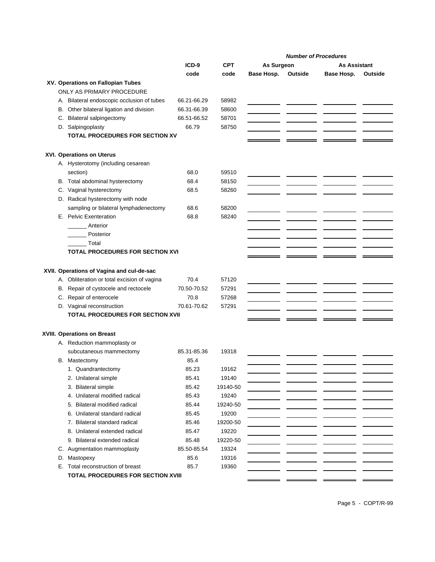|                                             |             |            |            |         | <b>Number of Procedures</b> |         |
|---------------------------------------------|-------------|------------|------------|---------|-----------------------------|---------|
|                                             | $ICD-9$     | <b>CPT</b> | As Surgeon |         | <b>As Assistant</b>         |         |
|                                             | code        | code       | Base Hosp. | Outside | Base Hosp.                  | Outside |
| XV. Operations on Fallopian Tubes           |             |            |            |         |                             |         |
| ONLY AS PRIMARY PROCEDURE                   |             |            |            |         |                             |         |
| A. Bilateral endoscopic occlusion of tubes  | 66.21-66.29 | 58982      |            |         |                             |         |
| B. Other bilateral ligation and division    | 66.31-66.39 | 58600      |            |         |                             |         |
| C. Bilateral salpingectomy                  | 66.51-66.52 | 58701      |            |         |                             |         |
| D. Salpingoplasty                           | 66.79       | 58750      |            |         |                             |         |
| <b>TOTAL PROCEDURES FOR SECTION XV</b>      |             |            |            |         |                             |         |
| <b>XVI. Operations on Uterus</b>            |             |            |            |         |                             |         |
| A. Hysterotomy (including cesarean          |             |            |            |         |                             |         |
| section)                                    | 68.0        | 59510      |            |         |                             |         |
| B. Total abdominal hysterectomy             | 68.4        | 58150      |            |         |                             |         |
| C. Vaginal hysterectomy                     | 68.5        | 58260      |            |         |                             |         |
| D. Radical hysterectomy with node           |             |            |            |         |                             |         |
| sampling or bilateral lymphadenectomy       | 68.6        | 58200      |            |         |                             |         |
| E. Pelvic Exenteration                      | 68.8        | 58240      |            |         |                             |         |
| Anterior                                    |             |            |            |         |                             |         |
| Posterior                                   |             |            |            |         |                             |         |
| Total                                       |             |            |            |         |                             |         |
| <b>TOTAL PROCEDURES FOR SECTION XVI</b>     |             |            |            |         |                             |         |
|                                             |             |            |            |         |                             |         |
|                                             |             |            |            |         |                             |         |
| XVII. Operations of Vagina and cul-de-sac   |             |            |            |         |                             |         |
| A. Obliteration or total excision of vagina | 70.4        | 57120      |            |         |                             |         |
| B. Repair of cystocele and rectocele        | 70.50-70.52 | 57291      |            |         |                             |         |
| C. Repair of enterocele                     | 70.8        | 57268      |            |         |                             |         |
| D. Vaginal reconstruction                   | 70.61-70.62 | 57291      |            |         |                             |         |
| TOTAL PROCEDURES FOR SECTION XVII           |             |            |            |         |                             |         |
| XVIII. Operations on Breast                 |             |            |            |         |                             |         |
| A. Reduction mammoplasty or                 |             |            |            |         |                             |         |
| subcutaneous mammectomy                     | 85.31-85.36 | 19318      |            |         |                             |         |
| B. Mastectomy                               | 85.4        |            |            |         |                             |         |
| 1. Quandrantectomy                          | 85.23       | 19162      |            |         |                             |         |
| 2. Unilateral simple                        | 85.41       | 19140      |            |         |                             |         |
| 3. Bilateral simple                         | 85.42       | 19140-50   |            |         |                             |         |
| 4. Unilateral modified radical              | 85.43       | 19240      |            |         |                             |         |
| 5. Bilateral modified radical               | 85.44       | 19240-50   |            |         |                             |         |
| 6. Unilateral standard radical              | 85.45       | 19200      |            |         |                             |         |
| 7. Bilateral standard radical               | 85.46       | 19200-50   |            |         |                             |         |
| 8. Unilateral extended radical              | 85.47       | 19220      |            |         |                             |         |
| 9. Bilateral extended radical               | 85.48       | 19220-50   |            |         |                             |         |
| C. Augmentation mammoplasty                 | 85.50-85.54 | 19324      |            |         |                             |         |
| D.<br>Mastopexy                             | 85.6        | 19316      |            |         |                             |         |
| Total reconstruction of breast<br>Е.        | 85.7        | 19360      |            |         |                             |         |
| <b>TOTAL PROCEDURES FOR SECTION XVIII</b>   |             |            |            |         |                             |         |
|                                             |             |            |            |         |                             |         |

Page 5 - COPT/R-99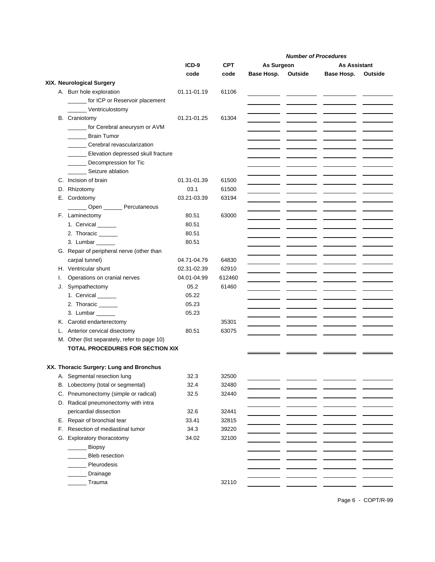|    |                                              |             |            |                    | <b>Number of Procedures</b> |         |
|----|----------------------------------------------|-------------|------------|--------------------|-----------------------------|---------|
|    |                                              | ICD-9       | <b>CPT</b> | As Surgeon         | <b>As Assistant</b>         |         |
|    |                                              | code        | code       | Base Hosp. Outside | Base Hosp.                  | Outside |
|    | XIX. Neurological Surgery                    |             |            |                    |                             |         |
|    | A. Burr hole exploration                     | 01.11-01.19 | 61106      |                    |                             |         |
|    | _____ for ICP or Reservoir placement         |             |            |                    |                             |         |
|    | Ventriculostomy                              |             |            |                    |                             |         |
|    | <b>B.</b> Craniotomy                         | 01.21-01.25 | 61304      |                    |                             |         |
|    | _ for Cerebral aneurysm or AVM               |             |            |                    |                             |         |
|    | Brain Tumor                                  |             |            |                    |                             |         |
|    | Cerebral revascularization                   |             |            |                    |                             |         |
|    | ______ Elevation depressed skull fracture    |             |            |                    |                             |         |
|    | _______ Decompression for Tic                |             |            |                    |                             |         |
|    | Seizure ablation                             |             |            |                    |                             |         |
|    | C. Incision of brain                         | 01.31-01.39 | 61500      |                    |                             |         |
|    | D. Rhizotomy                                 | 03.1        | 61500      |                    |                             |         |
|    | E. Cordotomy                                 | 03.21-03.39 | 63194      |                    |                             |         |
|    | Open Percutaneous                            |             |            |                    |                             |         |
|    | F. Laminectomy                               | 80.51       | 63000      |                    |                             |         |
|    | 1. Cervical _____                            | 80.51       |            |                    |                             |         |
|    | 2. Thoracic                                  | 80.51       |            |                    |                             |         |
|    | 3. Lumbar ______                             | 80.51       |            |                    |                             |         |
|    | G. Repair of peripheral nerve (other than    |             |            |                    |                             |         |
|    | carpal tunnel)                               | 04.71-04.79 | 64830      |                    |                             |         |
|    | H. Ventricular shunt                         | 02.31-02.39 | 62910      |                    |                             |         |
| I. | Operations on cranial nerves                 | 04.01-04.99 | 612460     |                    |                             |         |
|    | J. Sympathectomy                             | 05.2        | 61460      |                    |                             |         |
|    | 1. Cervical ______                           | 05.22       |            |                    |                             |         |
|    | 2. Thoracic ______                           | 05.23       |            |                    |                             |         |
|    | 3. Lumbar                                    | 05.23       |            |                    |                             |         |
|    | K. Carotid endarterectomy                    |             | 35301      |                    |                             |         |
|    | L. Anterior cervical disectomy               | 80.51       | 63075      |                    |                             |         |
|    | M. Other (list separately, refer to page 10) |             |            |                    |                             |         |
|    | TOTAL PROCEDURES FOR SECTION XIX             |             |            |                    |                             |         |
|    |                                              |             |            |                    |                             |         |
|    | XX. Thoracic Surgery: Lung and Bronchus      |             |            |                    |                             |         |
|    | A. Segmental resection lung                  | 32.3        | 32500      |                    |                             |         |
|    | B. Lobectomy (total or segmental)            | 32.4        | 32480      |                    |                             |         |
|    | C. Pneumonectomy (simple or radical)         | 32.5        | 32440      |                    |                             |         |
|    | D. Radical pneumonectomy with intra          |             |            |                    |                             |         |
|    | pericardial dissection                       | 32.6        | 32441      |                    |                             |         |
|    | E. Repair of bronchial tear                  | 33.41       | 32815      |                    |                             |         |
| F. | Resection of mediastinal tumor               | 34.3        | 39220      |                    |                             |         |
|    | G. Exploratory thoracotomy                   | 34.02       | 32100      |                    |                             |         |
|    | Biopsy                                       |             |            |                    |                             |         |
|    | <b>Bleb</b> resection                        |             |            |                    |                             |         |
|    | Pleurodesis                                  |             |            |                    |                             |         |
|    | Drainage                                     |             |            |                    |                             |         |
|    | $\_$ Trauma                                  |             | 32110      |                    |                             |         |
|    |                                              |             |            |                    |                             |         |

Page 6 - COPT/R-99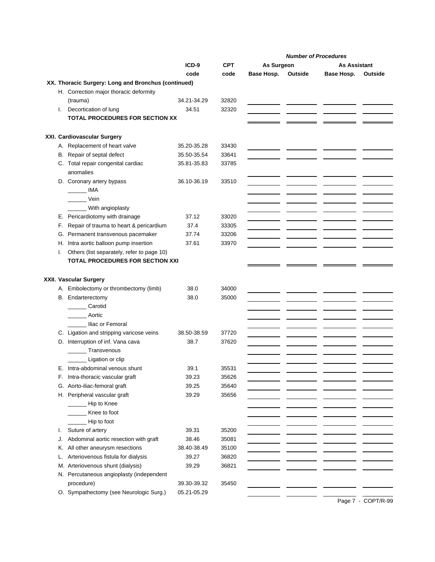|    |                                                       |             |                |            |         | <b>Number of Procedures</b> |         |
|----|-------------------------------------------------------|-------------|----------------|------------|---------|-----------------------------|---------|
|    |                                                       | ICD-9       | <b>CPT</b>     | As Surgeon |         | <b>As Assistant</b>         |         |
|    |                                                       | code        | code           | Base Hosp. | Outside | Base Hosp.                  | Outside |
|    | XX. Thoracic Surgery: Long and Bronchus (continued)   |             |                |            |         |                             |         |
|    | H. Correction major thoracic deformity                |             |                |            |         |                             |         |
|    | (trauma)                                              | 34.21-34.29 | 32820          |            |         |                             |         |
| I. | Decortication of lung                                 | 34.51       | 32320          |            |         |                             |         |
|    | TOTAL PROCEDURES FOR SECTION XX                       |             |                |            |         |                             |         |
|    | XXI. Cardiovascular Surgery                           |             |                |            |         |                             |         |
|    | A. Replacement of heart valve                         | 35.20-35.28 | 33430          |            |         |                             |         |
|    | B. Repair of septal defect                            | 35.50-35.54 | 33641          |            |         |                             |         |
|    | C. Total repair congenital cardiac                    | 35.81-35.83 | 33785          |            |         |                             |         |
|    | anomalies                                             |             |                |            |         |                             |         |
|    | D. Coronary artery bypass                             | 36.10-36.19 | 33510          |            |         |                             |         |
|    | <b>IMA</b>                                            |             |                |            |         |                             |         |
|    | Vein                                                  |             |                |            |         |                             |         |
|    | With angioplasty                                      |             |                |            |         |                             |         |
|    | E. Pericardiotomy with drainage                       | 37.12       | 33020          |            |         |                             |         |
| F. | Repair of trauma to heart & pericardium               | 37.4        | 33305          |            |         |                             |         |
|    | G. Permanent transvenous pacemaker                    | 37.74       | 33206          |            |         |                             |         |
|    | H. Intra aortic balloon pump insertion                | 37.61       | 33970          |            |         |                             |         |
| I. | Others (list separately, refer to page 10)            |             |                |            |         |                             |         |
|    | TOTAL PROCEDURES FOR SECTION XXI                      |             |                |            |         |                             |         |
|    |                                                       |             |                |            |         |                             |         |
|    | XXII. Vascular Surgery                                |             |                |            |         |                             |         |
|    | A. Embolectomy or thrombectomy (limb)                 | 38.0        | 34000          |            |         |                             |         |
|    | B. Endarterectomy                                     | 38.0        | 35000          |            |         |                             |         |
|    | Carotid                                               |             |                |            |         |                             |         |
|    | Aortic                                                |             |                |            |         |                             |         |
|    | lliac or Femoral                                      |             |                |            |         |                             |         |
|    | C. Ligation and stripping varicose veins              | 38.50-38.59 | 37720          |            |         |                             |         |
|    | D. Interruption of inf. Vana cava                     | 38.7        | 37620          |            |         |                             |         |
|    | Transvenous                                           |             |                |            |         |                             |         |
|    | Ligation or clip                                      |             |                |            |         |                             |         |
|    | E. Intra-abdominal venous shunt                       | 39.1        | 35531          |            |         |                             |         |
| F. | Intra-thoracic vascular graft                         | 39.23       | 35626          |            |         |                             |         |
|    | G. Aorto-iliac-femoral graft                          | 39.25       | 35640          |            |         |                             |         |
|    | H. Peripheral vascular graft                          | 39.29       | 35656          |            |         |                             |         |
|    | Hip to Knee                                           |             |                |            |         |                             |         |
|    | Knee to foot                                          |             |                |            |         |                             |         |
|    | Hip to foot                                           |             |                |            |         |                             |         |
| I. | Suture of artery                                      | 39.31       | 35200          |            |         |                             |         |
| J. | Abdominal aortic resection with graft                 | 38.46       | 35081          |            |         |                             |         |
| Κ. | All other aneurysm resections                         | 38.40-38.49 | 35100<br>36820 |            |         |                             |         |
| L. | Arteriovenous fistula for dialysis                    | 39.27       |                |            |         |                             |         |
|    | M. Arteriovenous shunt (dialysis)                     | 39.29       | 36821          |            |         |                             |         |
|    | N. Percutaneous angioplasty (independent              |             |                |            |         |                             |         |
|    | procedure)<br>O. Sympathectomy (see Neurologic Surg.) | 39.30-39.32 | 35450          |            |         |                             |         |
|    |                                                       | 05.21-05.29 |                |            |         |                             |         |

Page 7 - COPT/R-99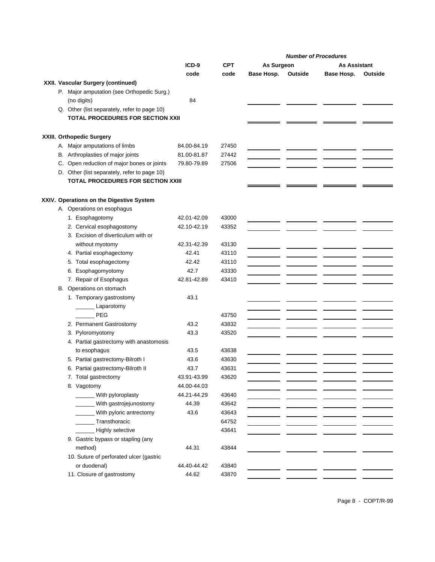|  |                                              |             |            |            | <b>Number of Procedures</b> |                     |         |
|--|----------------------------------------------|-------------|------------|------------|-----------------------------|---------------------|---------|
|  |                                              | $ICD-9$     | <b>CPT</b> | As Surgeon |                             | <b>As Assistant</b> |         |
|  |                                              | code        | code       | Base Hosp. | Outside                     | Base Hosp.          | Outside |
|  | XXII. Vascular Surgery (continued)           |             |            |            |                             |                     |         |
|  | P. Major amputation (see Orthopedic Surg.)   |             |            |            |                             |                     |         |
|  | (no digits)                                  | 84          |            |            |                             |                     |         |
|  | Q. Other (list separately, refer to page 10) |             |            |            |                             |                     |         |
|  | <b>TOTAL PROCEDURES FOR SECTION XXII</b>     |             |            |            |                             |                     |         |
|  |                                              |             |            |            |                             |                     |         |
|  | XXIII. Orthopedic Surgery                    |             |            |            |                             |                     |         |
|  | A. Major amputations of limbs                | 84.00-84.19 | 27450      |            |                             |                     |         |
|  | B. Arthroplasties of major joints            | 81.00-81.87 | 27442      |            |                             |                     |         |
|  | C. Open reduction of major bones or joints   | 79.80-79.89 | 27506      |            |                             |                     |         |
|  | D. Other (list separately, refer to page 10) |             |            |            |                             |                     |         |
|  | <b>TOTAL PROCEDURES FOR SECTION XXIII</b>    |             |            |            |                             |                     |         |
|  |                                              |             |            |            |                             |                     |         |
|  | XXIV. Operations on the Digestive System     |             |            |            |                             |                     |         |
|  | A. Operations on esophagus                   |             |            |            |                             |                     |         |
|  | 1. Esophagotomy                              | 42.01-42.09 | 43000      |            |                             |                     |         |
|  | 2. Cervical esophagostomy                    | 42.10-42.19 | 43352      |            |                             |                     |         |
|  | 3. Excision of diverticulum with or          |             |            |            |                             |                     |         |
|  | without myotomy                              | 42.31-42.39 | 43130      |            |                             |                     |         |
|  | 4. Partial esophagectomy                     | 42.41       | 43110      |            |                             |                     |         |
|  | 5. Total esophagectomy                       | 42.42       | 43110      |            |                             |                     |         |
|  | 6. Esophagomyotomy                           | 42.7        | 43330      |            |                             |                     |         |
|  | 7. Repair of Esophagus                       | 42.81-42.89 | 43410      |            |                             |                     |         |
|  | B. Operations on stomach                     |             |            |            |                             |                     |         |
|  | 1. Temporary gastrostomy                     | 43.1        |            |            |                             |                     |         |
|  | Laparotomy                                   |             |            |            |                             |                     |         |
|  | <b>PEG</b>                                   |             | 43750      |            |                             |                     |         |
|  | 2. Permanent Gastrostomy                     | 43.2        | 43832      |            |                             |                     |         |
|  | 3. Pyloromyotomy                             | 43.3        | 43520      |            |                             |                     |         |
|  | 4. Partial gastrectomy with anastomosis      |             |            |            |                             |                     |         |
|  | to esophagus                                 | 43.5        | 43638      |            |                             |                     |         |
|  | 5. Partial gastrectomy-Bilroth I             | 43.6        | 43630      |            |                             |                     |         |
|  | 6. Partial gastrectomy-Bilroth II            | 43.7        | 43631      |            |                             |                     |         |
|  | 7. Total gastrectomy                         | 43.91-43.99 | 43620      |            |                             |                     |         |
|  | 8. Vagotomy                                  | 44.00-44.03 |            |            |                             |                     |         |
|  | ______ With pyloroplasty                     | 44.21-44.29 | 43640      |            |                             |                     |         |
|  | With gastrojejunostomy                       | 44.39       | 43642      |            |                             |                     |         |
|  | With pyloric antrectomy                      | 43.6        | 43643      |            |                             |                     |         |
|  | Transthoracic                                |             | 64752      |            |                             |                     |         |
|  | Highly selective                             |             | 43641      |            |                             |                     |         |
|  | 9. Gastric bypass or stapling (any           |             |            |            |                             |                     |         |
|  | method)                                      | 44.31       | 43844      |            |                             |                     |         |
|  | 10. Suture of perforated ulcer (gastric      |             |            |            |                             |                     |         |
|  | or duodenal)                                 | 44.40-44.42 | 43840      |            |                             |                     |         |
|  | 11. Closure of gastrostomy                   | 44.62       | 43870      |            |                             |                     |         |

Page 8 - COPT/R-99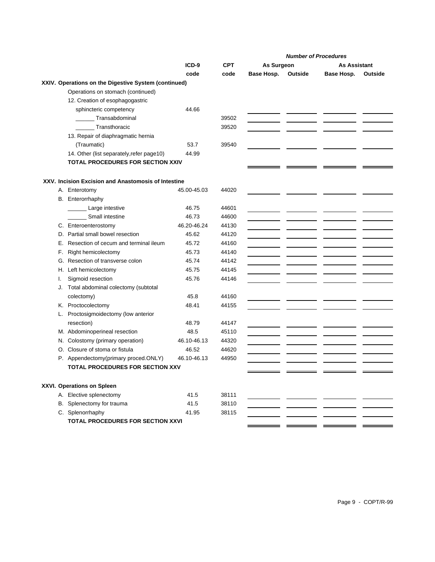|    |                                                      |             |            |            |         | <b>Number of Procedures</b> |         |
|----|------------------------------------------------------|-------------|------------|------------|---------|-----------------------------|---------|
|    |                                                      | $ICD-9$     | <b>CPT</b> | As Surgeon |         | <b>As Assistant</b>         |         |
|    |                                                      | code        | code       | Base Hosp. | Outside | Base Hosp.                  | Outside |
|    | XXIV. Operations on the Digestive System (continued) |             |            |            |         |                             |         |
|    | Operations on stomach (continued)                    |             |            |            |         |                             |         |
|    | 12. Creation of esophagogastric                      |             |            |            |         |                             |         |
|    | sphincteric competency                               | 44.66       |            |            |         |                             |         |
|    | Transabdominal                                       |             | 39502      |            |         |                             |         |
|    | Transthoracic                                        |             | 39520      |            |         |                             |         |
|    | 13. Repair of diaphragmatic hernia                   |             |            |            |         |                             |         |
|    | (Traumatic)                                          | 53.7        | 39540      |            |         |                             |         |
|    | 14. Other (list separately, refer page10)            | 44.99       |            |            |         |                             |         |
|    | TOTAL PROCEDURES FOR SECTION XXIV                    |             |            |            |         |                             |         |
|    |                                                      |             |            |            |         |                             |         |
|    | XXV. Incision Excision and Anastomosis of Intestine  |             |            |            |         |                             |         |
|    | A. Enterotomy                                        | 45.00-45.03 | 44020      |            |         |                             |         |
|    | B. Enterorrhaphy                                     |             |            |            |         |                             |         |
|    | Large intestive                                      | 46.75       | 44601      |            |         |                             |         |
|    | Small intestine                                      | 46.73       | 44600      |            |         |                             |         |
|    | C. Enteroenterostomy                                 | 46.20-46.24 | 44130      |            |         |                             |         |
|    | D. Partial small bowel resection                     | 45.62       | 44120      |            |         |                             |         |
| Е. | Resection of cecum and terminal ileum                | 45.72       | 44160      |            |         |                             |         |
| F. | Right hemicolectomy                                  | 45.73       | 44140      |            |         |                             |         |
|    | G. Resection of transverse colon                     | 45.74       | 44142      |            |         |                             |         |
|    | H. Left hemicolectomy                                | 45.75       | 44145      |            |         |                             |         |
| Τ. | Sigmoid resection                                    | 45.76       | 44146      |            |         |                             |         |
| J. | Total abdominal colectomy (subtotal                  |             |            |            |         |                             |         |
|    | colectomy)                                           | 45.8        | 44160      |            |         |                             |         |
|    | K. Proctocolectomy                                   | 48.41       | 44155      |            |         |                             |         |
|    | L. Proctosigmoidectomy (low anterior                 |             |            |            |         |                             |         |
|    | resection)                                           | 48.79       | 44147      |            |         |                             |         |
|    | M. Abdominoperineal resection                        | 48.5        | 45110      |            |         |                             |         |
|    | N. Colostomy (primary operation)                     | 46.10-46.13 | 44320      |            |         |                             |         |
|    | O. Closure of stoma or fistula                       | 46.52       | 44620      |            |         |                             |         |
|    | P. Appendectomy(primary proced.ONLY)                 | 46.10-46.13 | 44950      |            |         |                             |         |
|    | <b>TOTAL PROCEDURES FOR SECTION XXV</b>              |             |            |            |         |                             |         |
|    |                                                      |             |            |            |         |                             |         |
|    | XXVI. Operations on Spleen                           |             |            |            |         |                             |         |
|    | A. Elective splenectomy                              | 41.5        | 38111      |            |         |                             |         |
|    | B. Splenectomy for trauma                            | 41.5        | 38110      |            |         |                             |         |
|    | C. Splenorrhaphy                                     | 41.95       | 38115      |            |         |                             |         |
|    | TOTAL PROCEDURES FOR SECTION XXVI                    |             |            |            |         |                             |         |
|    |                                                      |             |            |            |         |                             |         |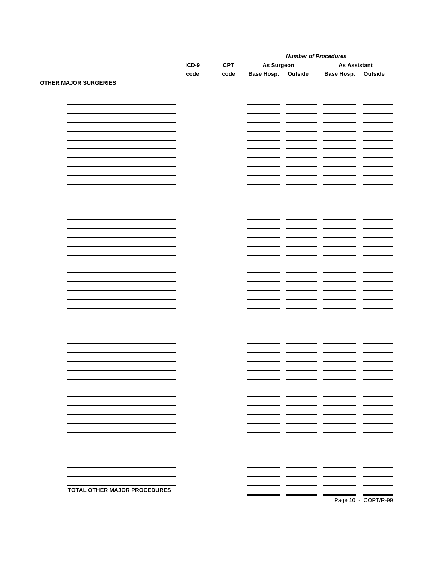|                              |         |            | <b>Number of Procedures</b> |                                    |                      |                          |
|------------------------------|---------|------------|-----------------------------|------------------------------------|----------------------|--------------------------|
|                              | $ICD-9$ | <b>CPT</b> | As Surgeon                  |                                    | <b>As Assistant</b>  |                          |
|                              | code    | code       | <b>Base Hosp.</b> Outside   |                                    | Base Hosp. Outside   |                          |
| <b>OTHER MAJOR SURGERIES</b> |         |            |                             |                                    |                      |                          |
|                              |         |            |                             | <b><i><u>ALCOHOL: 1999</u></i></b> | $\mathcal{L}$<br>- - | $\overline{\phantom{0}}$ |
|                              |         |            |                             |                                    |                      |                          |
|                              |         |            |                             |                                    |                      |                          |
|                              |         |            |                             |                                    |                      |                          |
|                              |         |            |                             |                                    |                      |                          |
|                              |         |            |                             |                                    |                      |                          |
|                              |         |            |                             |                                    |                      |                          |
|                              |         |            |                             |                                    |                      |                          |
|                              |         |            |                             |                                    |                      |                          |
|                              |         |            |                             |                                    |                      |                          |
|                              |         |            |                             |                                    |                      |                          |
|                              |         |            |                             |                                    |                      |                          |
|                              |         |            |                             |                                    |                      |                          |
|                              |         |            |                             |                                    |                      |                          |
|                              |         |            |                             |                                    |                      |                          |
|                              |         |            |                             |                                    |                      |                          |
|                              |         |            |                             |                                    |                      |                          |
|                              |         |            |                             |                                    |                      |                          |
|                              |         |            |                             |                                    |                      |                          |
|                              |         |            |                             |                                    |                      |                          |
|                              |         |            |                             |                                    |                      |                          |
|                              |         |            |                             |                                    |                      |                          |
|                              |         |            |                             |                                    |                      |                          |
|                              |         |            |                             |                                    |                      |                          |
|                              |         |            |                             |                                    |                      |                          |
|                              |         |            |                             |                                    |                      |                          |
|                              |         |            |                             |                                    |                      |                          |
|                              |         |            |                             |                                    |                      |                          |
|                              |         |            |                             |                                    |                      |                          |
|                              |         |            |                             |                                    |                      |                          |
|                              |         |            |                             |                                    |                      |                          |
|                              |         |            |                             |                                    |                      |                          |
|                              |         |            |                             |                                    |                      |                          |
|                              |         |            |                             |                                    |                      |                          |
|                              |         |            |                             |                                    |                      |                          |
|                              |         |            |                             |                                    |                      |                          |
|                              |         |            |                             |                                    |                      |                          |
|                              |         |            |                             |                                    |                      |                          |
|                              |         |            |                             |                                    |                      |                          |
|                              |         |            |                             |                                    |                      |                          |
|                              |         |            |                             |                                    |                      |                          |
|                              |         |            |                             |                                    |                      |                          |
|                              |         |            |                             |                                    |                      |                          |
|                              |         |            |                             |                                    |                      |                          |
|                              |         |            |                             |                                    |                      |                          |
|                              |         |            |                             |                                    |                      |                          |
|                              |         |            |                             |                                    |                      |                          |
|                              |         |            |                             |                                    |                      |                          |
|                              |         |            |                             |                                    |                      |                          |
|                              |         |            |                             |                                    |                      |                          |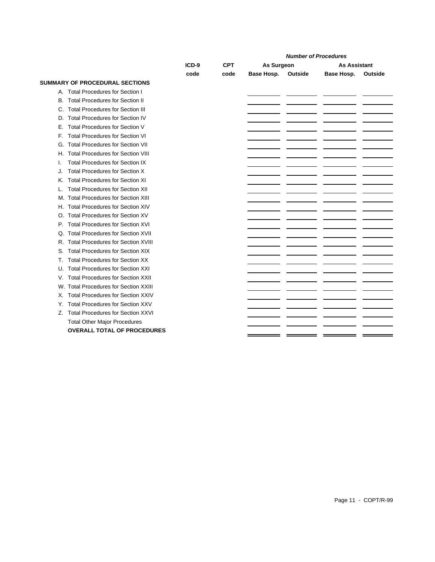|    |                                           |         |            | <b>Number of Procedures</b> |         |                     |         |
|----|-------------------------------------------|---------|------------|-----------------------------|---------|---------------------|---------|
|    |                                           | $ICD-9$ | <b>CPT</b> | As Surgeon                  |         | <b>As Assistant</b> |         |
|    |                                           | code    | code       | Base Hosp.                  | Outside | Base Hosp.          | Outside |
|    | <b>SUMMARY OF PROCEDURAL SECTIONS</b>     |         |            |                             |         |                     |         |
| А. | <b>Total Procedures for Section I</b>     |         |            |                             |         |                     |         |
| В. | <b>Total Procedures for Section II</b>    |         |            |                             |         |                     |         |
| C. | <b>Total Procedures for Section III</b>   |         |            |                             |         |                     |         |
| D. | <b>Total Procedures for Section IV</b>    |         |            |                             |         |                     |         |
| Е. | <b>Total Procedures for Section V</b>     |         |            |                             |         |                     |         |
| F. | <b>Total Procedures for Section VI</b>    |         |            |                             |         |                     |         |
| G. | <b>Total Procedures for Section VII</b>   |         |            |                             |         |                     |         |
| Н. | <b>Total Procedures for Section VIII</b>  |         |            |                             |         |                     |         |
| ı. | <b>Total Procedures for Section IX</b>    |         |            |                             |         |                     |         |
| J. | <b>Total Procedures for Section X</b>     |         |            |                             |         |                     |         |
| Κ. | <b>Total Procedures for Section XI</b>    |         |            |                             |         |                     |         |
| L  | <b>Total Procedures for Section XII</b>   |         |            |                             |         |                     |         |
| М. | <b>Total Procedures for Section XIII</b>  |         |            |                             |         |                     |         |
| Н. | <b>Total Procedures for Section XIV</b>   |         |            |                             |         |                     |         |
| O  | <b>Total Procedures for Section XV</b>    |         |            |                             |         |                     |         |
| Р. | <b>Total Procedures for Section XVI</b>   |         |            |                             |         |                     |         |
| Q  | <b>Total Procedures for Section XVII</b>  |         |            |                             |         |                     |         |
| R. | <b>Total Procedures for Section XVIII</b> |         |            |                             |         |                     |         |
| S. | <b>Total Procedures for Section XIX</b>   |         |            |                             |         |                     |         |
| Т. | <b>Total Procedures for Section XX</b>    |         |            |                             |         |                     |         |
| U. | <b>Total Procedures for Section XXI</b>   |         |            |                             |         |                     |         |
| V. | <b>Total Procedures for Section XXII</b>  |         |            |                             |         |                     |         |
| W. | <b>Total Procedures for Section XXIII</b> |         |            |                             |         |                     |         |
| Х. | <b>Total Procedures for Section XXIV</b>  |         |            |                             |         |                     |         |
| Y. | <b>Total Procedures for Section XXV</b>   |         |            |                             |         |                     |         |
| Z. | <b>Total Procedures for Section XXVI</b>  |         |            |                             |         |                     |         |
|    | <b>Total Other Major Procedures</b>       |         |            |                             |         |                     |         |
|    | <b>OVERALL TOTAL OF PROCEDURES</b>        |         |            |                             |         |                     |         |
|    |                                           |         |            |                             |         |                     |         |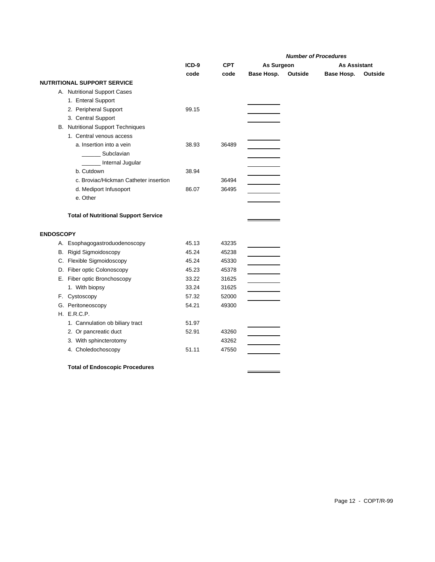|                  |                                             |         |            | <b>Number of Procedures</b> |         |                     |         |
|------------------|---------------------------------------------|---------|------------|-----------------------------|---------|---------------------|---------|
|                  |                                             | $ICD-9$ | <b>CPT</b> | As Surgeon                  |         | <b>As Assistant</b> |         |
|                  |                                             | code    | code       | Base Hosp.                  | Outside | Base Hosp.          | Outside |
|                  | <b>NUTRITIONAL SUPPORT SERVICE</b>          |         |            |                             |         |                     |         |
|                  | A. Nutritional Support Cases                |         |            |                             |         |                     |         |
|                  | 1. Enteral Support                          |         |            |                             |         |                     |         |
|                  | 2. Peripheral Support                       | 99.15   |            |                             |         |                     |         |
|                  | 3. Central Support                          |         |            |                             |         |                     |         |
|                  | <b>B.</b> Nutritional Support Techniques    |         |            |                             |         |                     |         |
|                  | 1. Central venous access                    |         |            |                             |         |                     |         |
|                  | a. Insertion into a vein                    | 38.93   | 36489      |                             |         |                     |         |
|                  | Subclavian                                  |         |            |                             |         |                     |         |
|                  | Internal Jugular                            |         |            |                             |         |                     |         |
|                  | b. Cutdown                                  | 38.94   |            |                             |         |                     |         |
|                  | c. Broviac/Hickman Catheter insertion       |         | 36494      |                             |         |                     |         |
|                  | d. Mediport Infusoport                      | 86.07   | 36495      |                             |         |                     |         |
|                  | e. Other                                    |         |            |                             |         |                     |         |
|                  | <b>Total of Nutritional Support Service</b> |         |            |                             |         |                     |         |
|                  |                                             |         |            |                             |         |                     |         |
| <b>ENDOSCOPY</b> |                                             |         |            |                             |         |                     |         |
|                  | A. Esophagogastroduodenoscopy               | 45.13   | 43235      |                             |         |                     |         |
|                  | B. Rigid Sigmoidoscopy                      | 45.24   | 45238      |                             |         |                     |         |
|                  | C. Flexible Sigmoidoscopy                   | 45.24   | 45330      |                             |         |                     |         |
|                  | D. Fiber optic Colonoscopy                  | 45.23   | 45378      |                             |         |                     |         |
|                  | E. Fiber optic Bronchoscopy                 | 33.22   | 31625      |                             |         |                     |         |
|                  | 1. With biopsy                              | 33.24   | 31625      |                             |         |                     |         |
|                  | F. Cystoscopy                               | 57.32   | 52000      |                             |         |                     |         |
|                  | G. Peritoneoscopy                           | 54.21   | 49300      |                             |         |                     |         |
|                  | H. E.R.C.P.                                 |         |            |                             |         |                     |         |
|                  | 1. Cannulation ob biliary tract             | 51.97   |            |                             |         |                     |         |
|                  | 2. Or pancreatic duct                       | 52.91   | 43260      |                             |         |                     |         |
|                  | 3. With sphincterotomy                      |         | 43262      |                             |         |                     |         |
|                  | 4. Choledochoscopy                          | 51.11   | 47550      |                             |         |                     |         |
|                  | <b>Total of Endoscopic Procedures</b>       |         |            |                             |         |                     |         |

 $\qquad \qquad \overbrace{\qquad \qquad }$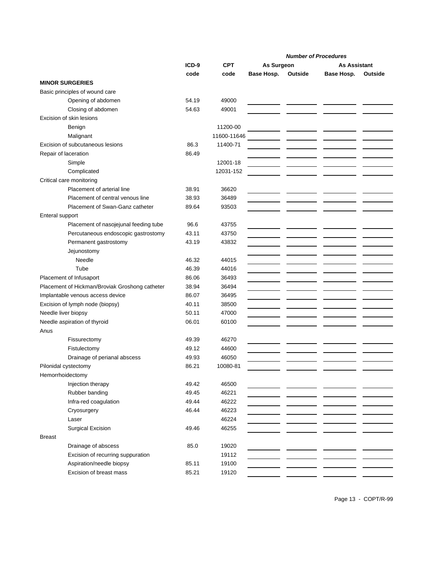|                                          |                                                |       |             | <b>Number of Procedures</b> |         |                     |         |
|------------------------------------------|------------------------------------------------|-------|-------------|-----------------------------|---------|---------------------|---------|
|                                          |                                                | ICD-9 | <b>CPT</b>  | As Surgeon                  |         | <b>As Assistant</b> |         |
|                                          |                                                | code  | code        | Base Hosp.                  | Outside | Base Hosp.          | Outside |
| <b>MINOR SURGERIES</b>                   |                                                |       |             |                             |         |                     |         |
|                                          | Basic principles of wound care                 |       |             |                             |         |                     |         |
|                                          | Opening of abdomen                             | 54.19 | 49000       |                             |         |                     |         |
|                                          | Closing of abdomen                             | 54.63 | 49001       |                             |         |                     |         |
|                                          | Excision of skin lesions                       |       |             |                             |         |                     |         |
|                                          | Benign                                         |       | 11200-00    |                             |         |                     |         |
|                                          | Malignant                                      |       | 11600-11646 |                             |         |                     |         |
|                                          | Excision of subcutaneous lesions               | 86.3  | 11400-71    |                             |         |                     |         |
| Repair of laceration                     |                                                | 86.49 |             |                             |         |                     |         |
|                                          | Simple                                         |       | 12001-18    |                             |         |                     |         |
|                                          | Complicated                                    |       | 12031-152   |                             |         |                     |         |
|                                          | Critical care monitoring                       |       |             |                             |         |                     |         |
|                                          | Placement of arterial line                     | 38.91 | 36620       |                             |         |                     |         |
|                                          | Placement of central venous line               | 38.93 | 36489       |                             |         |                     |         |
|                                          | Placement of Swan-Ganz catheter                | 89.64 | 93503       |                             |         |                     |         |
| Enteral support                          |                                                |       |             |                             |         |                     |         |
|                                          | Placement of nasojejunal feeding tube          | 96.6  | 43755       |                             |         |                     |         |
|                                          | Percutaneous endoscopic gastrostomy            | 43.11 | 43750       |                             |         |                     |         |
|                                          | Permanent gastrostomy                          | 43.19 | 43832       |                             |         |                     |         |
|                                          | Jejunostomy                                    |       |             |                             |         |                     |         |
|                                          | Needle                                         | 46.32 | 44015       |                             |         |                     |         |
|                                          | Tube                                           | 46.39 | 44016       |                             |         |                     |         |
|                                          | Placement of Infusaport                        | 86.06 | 36493       |                             |         |                     |         |
|                                          | Placement of Hickman/Broviak Groshong catheter | 38.94 | 36494       |                             |         |                     |         |
|                                          | Implantable venous access device               | 86.07 | 36495       |                             |         |                     |         |
|                                          | Excision of lymph node (biopsy)                | 40.11 | 38500       |                             |         |                     |         |
| Needle liver biopsy                      |                                                | 50.11 | 47000       |                             |         |                     |         |
|                                          | Needle aspiration of thyroid                   | 06.01 | 60100       |                             |         |                     |         |
| Anus                                     |                                                |       |             |                             |         |                     |         |
|                                          | Fissurectomy                                   | 49.39 | 46270       |                             |         |                     |         |
|                                          | Fistulectomy                                   | 49.12 | 44600       |                             |         |                     |         |
|                                          | Drainage of perianal abscess                   | 49.93 | 46050       |                             |         |                     |         |
|                                          |                                                | 86.21 | 10080-81    |                             |         |                     |         |
| Pilonidal cystectomy<br>Hemorrhoidectomy |                                                |       |             |                             |         |                     |         |
|                                          | Injection therapy                              | 49.42 | 46500       |                             |         |                     |         |
|                                          |                                                | 49.45 |             |                             |         |                     |         |
|                                          | Rubber banding<br>Infra-red coagulation        |       | 46221       |                             |         |                     |         |
|                                          |                                                | 49.44 | 46222       |                             |         |                     |         |
|                                          | Cryosurgery                                    | 46.44 | 46223       |                             |         |                     |         |
|                                          | Laser                                          |       | 46224       |                             |         |                     |         |
|                                          | Surgical Excision                              | 49.46 | 46255       |                             |         |                     |         |
| <b>Breast</b>                            |                                                |       |             |                             |         |                     |         |
|                                          | Drainage of abscess                            | 85.0  | 19020       |                             |         |                     |         |
|                                          | Excision of recurring suppuration              |       | 19112       |                             |         |                     |         |
|                                          | Aspiration/needle biopsy                       | 85.11 | 19100       |                             |         |                     |         |
|                                          | Excision of breast mass                        | 85.21 | 19120       |                             |         |                     |         |

Page 13 - COPT/R-99